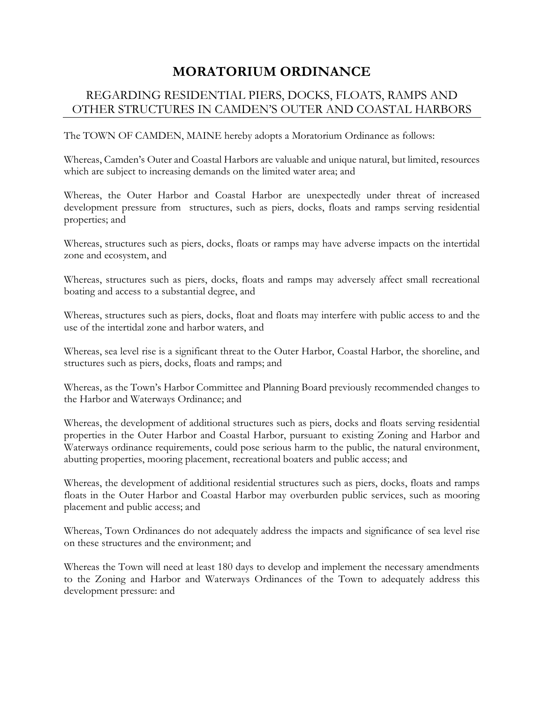## **MORATORIUM ORDINANCE**

## REGARDING RESIDENTIAL PIERS, DOCKS, FLOATS, RAMPS AND OTHER STRUCTURES IN CAMDEN'S OUTER AND COASTAL HARBORS

The TOWN OF CAMDEN, MAINE hereby adopts a Moratorium Ordinance as follows:

Whereas, Camden's Outer and Coastal Harbors are valuable and unique natural, but limited, resources which are subject to increasing demands on the limited water area; and

Whereas, the Outer Harbor and Coastal Harbor are unexpectedly under threat of increased development pressure from structures, such as piers, docks, floats and ramps serving residential properties; and

Whereas, structures such as piers, docks, floats or ramps may have adverse impacts on the intertidal zone and ecosystem, and

Whereas, structures such as piers, docks, floats and ramps may adversely affect small recreational boating and access to a substantial degree, and

Whereas, structures such as piers, docks, float and floats may interfere with public access to and the use of the intertidal zone and harbor waters, and

Whereas, sea level rise is a significant threat to the Outer Harbor, Coastal Harbor, the shoreline, and structures such as piers, docks, floats and ramps; and

Whereas, as the Town's Harbor Committee and Planning Board previously recommended changes to the Harbor and Waterways Ordinance; and

Whereas, the development of additional structures such as piers, docks and floats serving residential properties in the Outer Harbor and Coastal Harbor, pursuant to existing Zoning and Harbor and Waterways ordinance requirements, could pose serious harm to the public, the natural environment, abutting properties, mooring placement, recreational boaters and public access; and

Whereas, the development of additional residential structures such as piers, docks, floats and ramps floats in the Outer Harbor and Coastal Harbor may overburden public services, such as mooring placement and public access; and

Whereas, Town Ordinances do not adequately address the impacts and significance of sea level rise on these structures and the environment; and

Whereas the Town will need at least 180 days to develop and implement the necessary amendments to the Zoning and Harbor and Waterways Ordinances of the Town to adequately address this development pressure: and